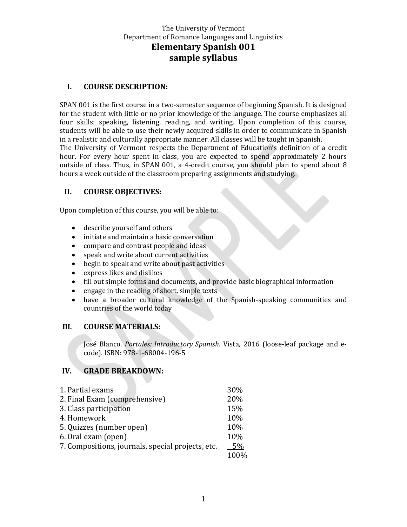### **I. COURSE DESCRIPTION:**

SPAN 001 is the first course in a two-semester sequence of beginning Spanish. It is designed for the student with little or no prior knowledge of the language. The course emphasizes all four skills: speaking, listening, reading, and writing. Upon completion of this course, students will be able to use their newly acquired skills in order to communicate in Spanish in a realistic and culturally appropriate manner. All classes will be taught in Spanish. The University of Vermont respects the Department of Education's definition of a credit hour. For every hour spent in class, you are expected to spend approximately 2 hours outside of class. Thus, in SPAN 001, a 4-credit course, you should plan to spend about 8 hours a week outside of the classroom preparing assignments and studying.

#### **II. COURSE OBJECTIVES:**

Upon completion of this course, you will be able to:

- describe yourself and others
- initiate and maintain a basic conversation
- compare and contrast people and ideas
- speak and write about current activities
- begin to speak and write about past activities
- express likes and dislikes
- fill out simple forms and documents, and provide basic biographical information
- engage in the reading of short, simple texts
- have a broader cultural knowledge of the Spanish-speaking communities and countries of the world today

#### **III. COURSE MATERIALS:**

José Blanco. *Portales: Introductory Spanish*. Vista, 2016 (loose-leaf package and ecode). ISBN: 978-1-68004-196-5

#### **IV. GRADE BREAKDOWN:**

| 1. Partial exams                                  | <b>30%</b> |
|---------------------------------------------------|------------|
| 2. Final Exam (comprehensive)                     | 20%        |
| 3. Class participation                            | 15%        |
| 4. Homework                                       | 10%        |
| 5. Quizzes (number open)                          | 10%        |
| 6. Oral exam (open)                               | 10%        |
| 7. Compositions, journals, special projects, etc. | 5%         |
|                                                   | 100%       |
|                                                   |            |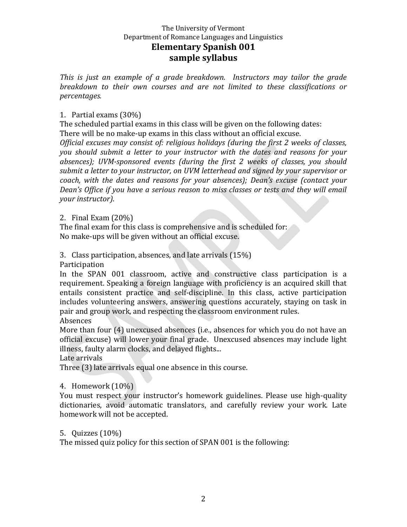*This is just an example of a grade breakdown. Instructors may tailor the grade breakdown to their own courses and are not limited to these classifications or percentages.*

### 1. Partial exams (30%)

The scheduled partial exams in this class will be given on the following dates: There will be no make-up exams in this class without an official excuse.

*Official excuses may consist of: religious holidays (during the first 2 weeks of classes, you should submit a letter to your instructor with the dates and reasons for your absences); UVM-sponsored events (during the first 2 weeks of classes, you should submit a letter to your instructor, on UVM letterhead and signed by your supervisor or coach, with the dates and reasons for your absences); Dean's excuse (contact your Dean's Office if you have a serious reason to miss classes or tests and they will email your instructor).*

2. Final Exam (20%)

The final exam for this class is comprehensive and is scheduled for: No make-ups will be given without an official excuse.

3. Class participation, absences, and late arrivals (15%)

Participation

In the SPAN 001 classroom, active and constructive class participation is a requirement. Speaking a foreign language with proficiency is an acquired skill that entails consistent practice and self-discipline. In this class, active participation includes volunteering answers, answering questions accurately, staying on task in pair and group work, and respecting the classroom environment rules.

Absences

More than four (4) unexcused absences (i.e., absences for which you do not have an official excuse) will lower your final grade. Unexcused absences may include light illness, faulty alarm clocks, and delayed flights...

Late arrivals

Three (3) late arrivals equal one absence in this course.

## 4. Homework (10%)

You must respect your instructor's homework guidelines. Please use high-quality dictionaries, avoid automatic translators, and carefully review your work. Late homework will not be accepted.

5. Quizzes (10%)

The missed quiz policy for this section of SPAN 001 is the following: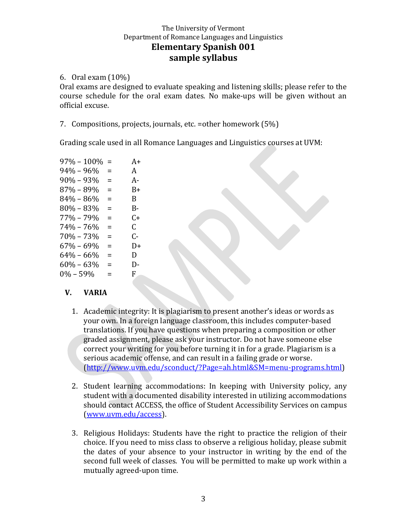6. Oral exam (10%)

Oral exams are designed to evaluate speaking and listening skills; please refer to the course schedule for the oral exam dates. No make-ups will be given without an official excuse.

7. Compositions, projects, journals, etc. =other homework (5%)

Grading scale used in all Romance Languages and Linguistics courses at UVM:

| $97\% - 100\%$ | $=$ | A+ |
|----------------|-----|----|
| $94\% - 96\%$  | $=$ | A  |
| $90\% - 93\%$  | Ξ   | А- |
| 87% - 89%      | Ξ   | B+ |
| $84\% - 86\%$  | $=$ | B  |
| $80\% - 83\%$  | $=$ | B- |
| 77% - 79%      | $=$ | C+ |
| $74\% - 76\%$  | $=$ | C. |
| $70\% - 73\%$  | Ξ   | C- |
| $67\% - 69\%$  | Ξ   | D+ |
| $64\% - 66\%$  | $=$ | D  |
| $60\% - 63\%$  | $=$ | D- |
| $0\% - 59\%$   | $=$ | F  |

## **V. VARIA**

- 1. Academic integrity: It is plagiarism to present another's ideas or words as your own. In a foreign language classroom, this includes computer-based translations. If you have questions when preparing a composition or other graded assignment, please ask your instructor. Do not have someone else correct your writing for you before turning it in for a grade. Plagiarism is a serious academic offense, and can result in a failing grade or worse. [\(http://www.uvm.edu/sconduct/?Page=ah.html&SM=menu-programs.html\)](http://www.uvm.edu/sconduct/?Page=ah.html&SM=menu-programs.html)
- 2. Student learning accommodations: In keeping with University policy, any student with a documented disability interested in utilizing accommodations should contact ACCESS, the office of Student Accessibility Services on campus [\(www.uvm.edu/access\)](http://www.uvm.edu/access).
- 3. Religious Holidays: Students have the right to practice the religion of their choice. If you need to miss class to observe a religious holiday, please submit the dates of your absence to your instructor in writing by the end of the second full week of classes. You will be permitted to make up work within a mutually agreed-upon time.